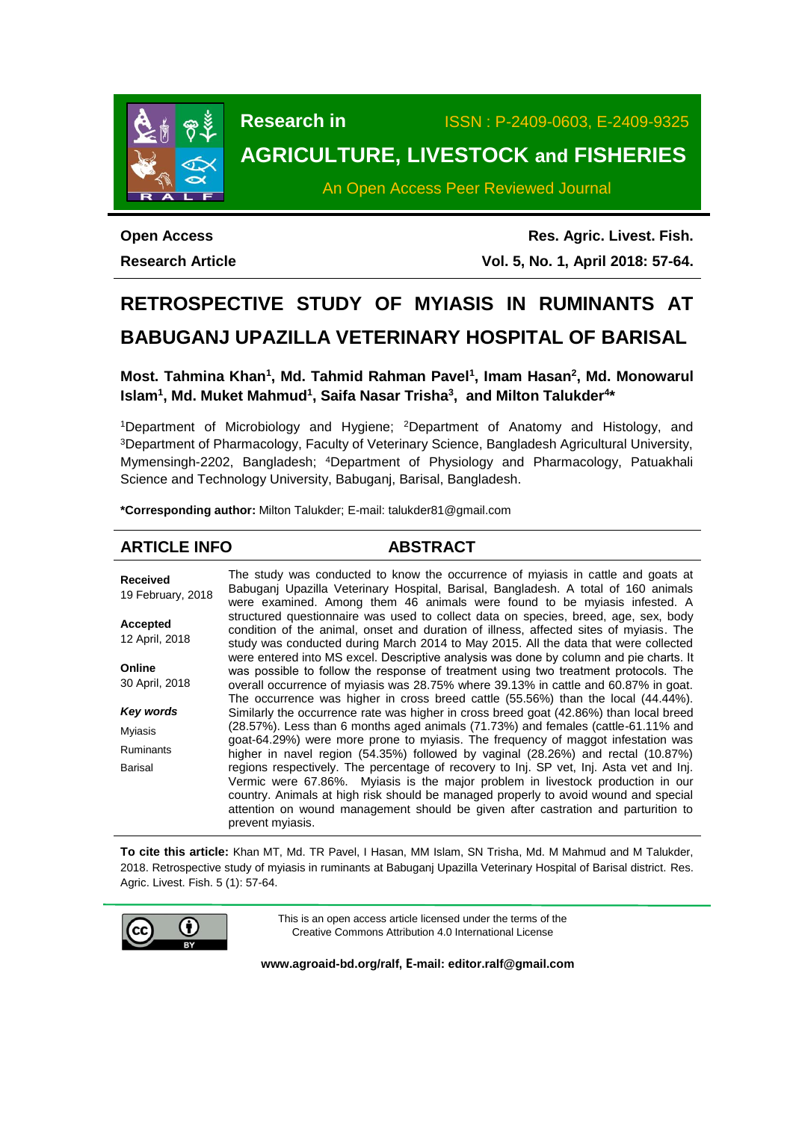

**Research in** ISSN : P-2409-0603, E-2409-9325

# **AGRICULTURE, LIVESTOCK and FISHERIES**

An Open Access Peer Reviewed Journal

**Open Access Research Article**

**Res. Agric. Livest. Fish. Vol. 5, No. 1, April 2018: 57-64.**

# **RETROSPECTIVE STUDY OF MYIASIS IN RUMINANTS AT BABUGANJ UPAZILLA VETERINARY HOSPITAL OF BARISAL**

**Most. Tahmina Khan<sup>1</sup> , Md. Tahmid Rahman Pavel<sup>1</sup> , Imam Hasan<sup>2</sup> , Md. Monowarul Islam<sup>1</sup> , Md. Muket Mahmud<sup>1</sup> , Saifa Nasar Trisha<sup>3</sup> , and Milton Talukder<sup>4</sup> \***

<sup>1</sup>Department of Microbiology and Hygiene; <sup>2</sup>Department of Anatomy and Histology, and <sup>3</sup>Department of Pharmacology, Faculty of Veterinary Science, Bangladesh Agricultural University, Mymensingh-2202, Bangladesh; <sup>4</sup>Department of Physiology and Pharmacology, Patuakhali Science and Technology University, Babuganj, Barisal, Bangladesh.

**\*Corresponding author:** Milton Talukder; E-mail: talukder81@gmail.com

# **ARTICLE INFO ABSTRACT**

**Received** 19 February, 2018 **Accepted** 12 April, 2018 **Online** 30 April, 2018 *Key words* Myiasis Ruminants Barisal The study was conducted to know the occurrence of myiasis in cattle and goats at Babuganj Upazilla Veterinary Hospital, Barisal, Bangladesh. A total of 160 animals were examined. Among them 46 animals were found to be myiasis infested. A structured questionnaire was used to collect data on species, breed, age, sex, body condition of the animal, onset and duration of illness, affected sites of myiasis. The study was conducted during March 2014 to May 2015. All the data that were collected were entered into MS excel. Descriptive analysis was done by column and pie charts. It was possible to follow the response of treatment using two treatment protocols. The overall occurrence of myiasis was 28.75% where 39.13% in cattle and 60.87% in goat. The occurrence was higher in cross breed cattle (55.56%) than the local (44.44%). Similarly the occurrence rate was higher in cross breed goat (42.86%) than local breed (28.57%). Less than 6 months aged animals (71.73%) and females (cattle-61.11% and goat-64.29%) were more prone to myiasis. The frequency of maggot infestation was higher in navel region (54.35%) followed by vaginal (28.26%) and rectal (10.87%) regions respectively. The percentage of recovery to Inj. SP vet, Inj. Asta vet and Inj. Vermic were 67.86%. Myiasis is the major problem in livestock production in our country. Animals at high risk should be managed properly to avoid wound and special attention on wound management should be given after castration and parturition to prevent myiasis.

**To cite this article:** Khan MT, Md. TR Pavel, I Hasan, MM Islam, SN Trisha, Md. M Mahmud and M Talukder, 2018. Retrospective study of myiasis in ruminants at Babuganj Upazilla Veterinary Hospital of Barisal district. Res. Agric. Livest. Fish. 5 (1): 57-64.



This is an open access article licensed under the terms of the Creative Commons Attribution 4.0 International License

**[www.agroaid-bd.org/ralf,](http://www.agroaid-bd.org/ralf) E-mail[: editor.ralf@gmail.com](mailto:editor.ralf@gmail.com)**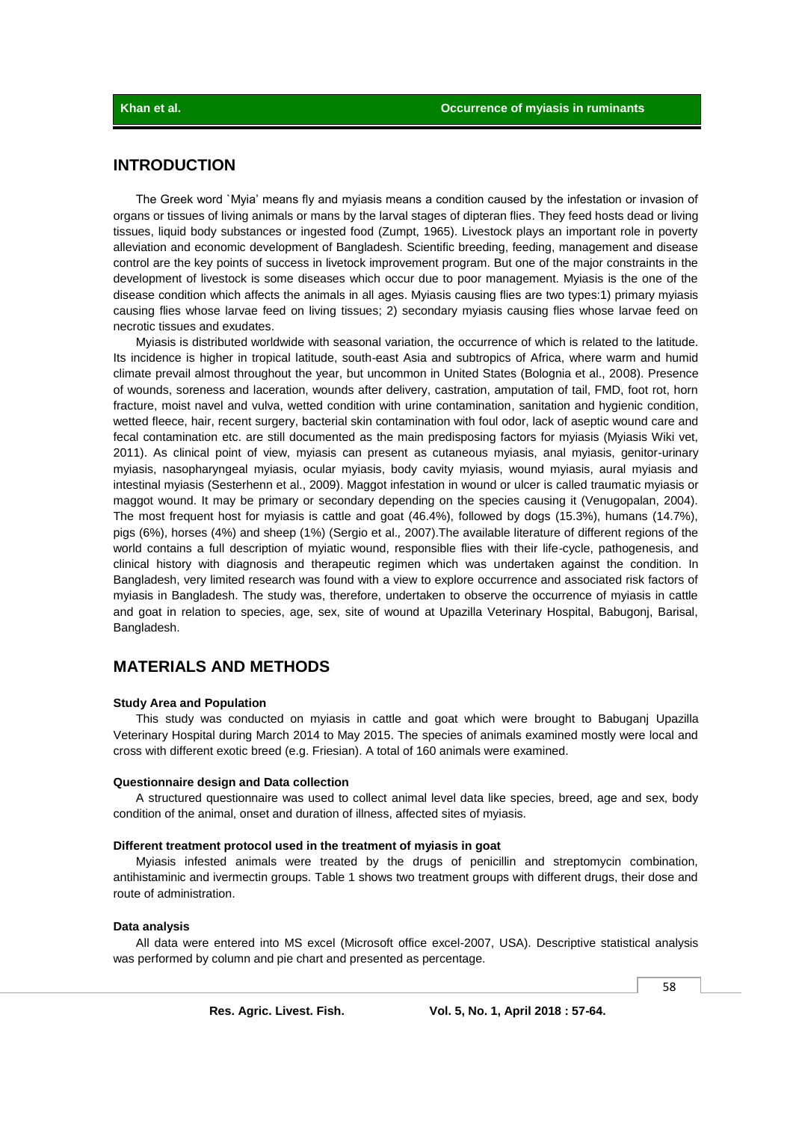# **INTRODUCTION**

The Greek word `Myia' means fly and myiasis means a condition caused by the infestation or invasion of organs or tissues of living animals or mans by the larval stages of dipteran flies. They feed hosts dead or living tissues, liquid body substances or ingested food (Zumpt, 1965). Livestock plays an important role in poverty alleviation and economic development of Bangladesh. Scientific breeding, feeding, management and disease control are the key points of success in livetock improvement program. But one of the major constraints in the development of livestock is some diseases which occur due to poor management. Myiasis is the one of the disease condition which affects the animals in all ages. Myiasis causing flies are two types:1) primary myiasis causing flies whose larvae feed on living tissues; 2) secondary myiasis causing flies whose larvae feed on necrotic tissues and exudates.

Myiasis is distributed worldwide with seasonal variation, the occurrence of which is related to the latitude. Its incidence is higher in tropical latitude, south-east Asia and subtropics of Africa, where warm and humid climate prevail almost throughout the year, but uncommon in United States (Bolognia et al., 2008). Presence of wounds, soreness and laceration, wounds after delivery, castration, amputation of tail, FMD, foot rot, horn fracture, moist navel and vulva, wetted condition with urine contamination, sanitation and hygienic condition, wetted fleece, hair, recent surgery, bacterial skin contamination with foul odor, lack of aseptic wound care and fecal contamination etc. are still documented as the main predisposing factors for myiasis (Myiasis Wiki vet, 2011). As clinical point of view, myiasis can present as cutaneous myiasis, anal myiasis, genitor-urinary myiasis, nasopharyngeal myiasis, ocular myiasis, body cavity myiasis, wound myiasis, aural myiasis and intestinal myiasis (Sesterhenn et al., 2009). Maggot infestation in wound or ulcer is called traumatic myiasis or maggot wound. It may be primary or secondary depending on the species causing it (Venugopalan, 2004). The most frequent host for myiasis is cattle and goat (46.4%), followed by dogs (15.3%), humans (14.7%), pigs (6%), horses (4%) and sheep (1%) (Sergio et al.*,* 2007).The available literature of different regions of the world contains a full description of myiatic wound, responsible flies with their life-cycle, pathogenesis, and clinical history with diagnosis and therapeutic regimen which was undertaken against the condition. In Bangladesh, very limited research was found with a view to explore occurrence and associated risk factors of myiasis in Bangladesh. The study was, therefore, undertaken to observe the occurrence of myiasis in cattle and goat in relation to species, age, sex, site of wound at Upazilla Veterinary Hospital, Babugonj, Barisal, Bangladesh.

# **MATERIALS AND METHODS**

#### **Study Area and Population**

This study was conducted on myiasis in cattle and goat which were brought to Babuganj Upazilla Veterinary Hospital during March 2014 to May 2015. The species of animals examined mostly were local and cross with different exotic breed (e.g. Friesian). A total of 160 animals were examined.

### **Questionnaire design and Data collection**

A structured questionnaire was used to collect animal level data like species, breed, age and sex, body condition of the animal, onset and duration of illness, affected sites of myiasis.

#### **Different treatment protocol used in the treatment of myiasis in goat**

Myiasis infested animals were treated by the drugs of penicillin and streptomycin combination, antihistaminic and ivermectin groups. Table 1 shows two treatment groups with different drugs, their dose and route of administration.

### **Data analysis**

All data were entered into MS excel (Microsoft office excel-2007, USA). Descriptive statistical analysis was performed by column and pie chart and presented as percentage.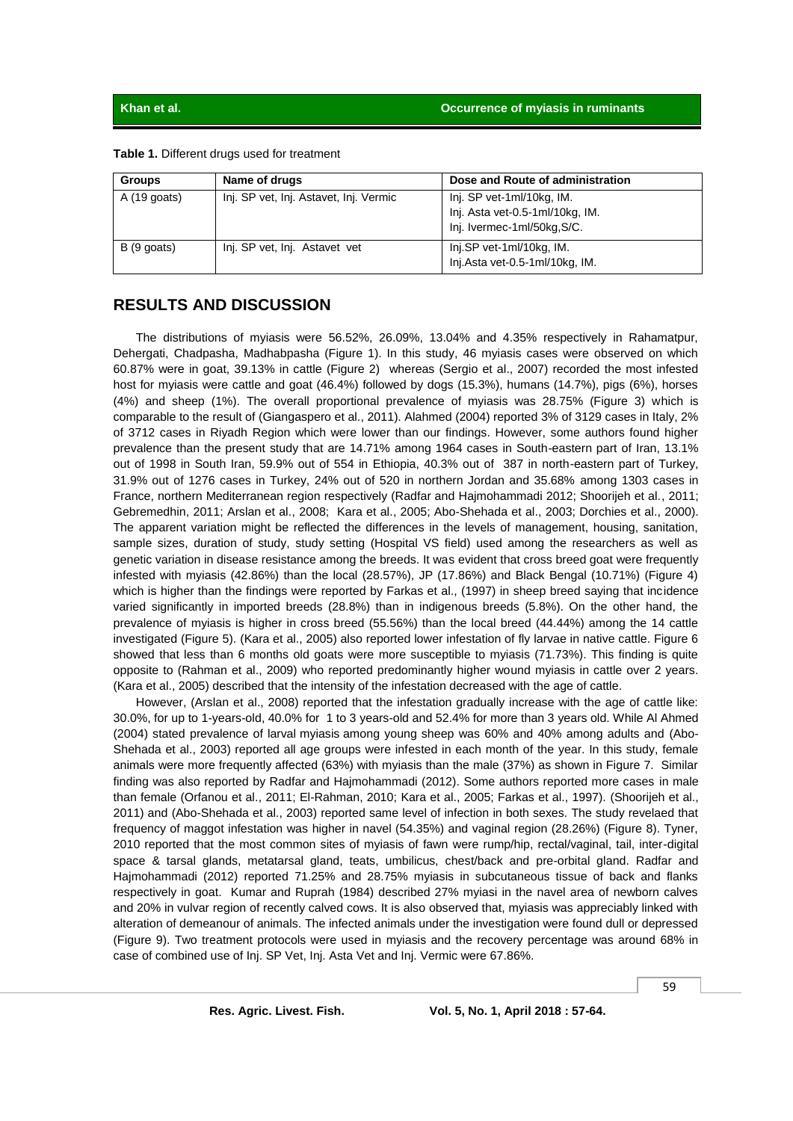|  |  |  |  | Table 1. Different drugs used for treatment |
|--|--|--|--|---------------------------------------------|
|--|--|--|--|---------------------------------------------|

| <b>Groups</b> | Name of drugs                          | Dose and Route of administration                                                            |  |
|---------------|----------------------------------------|---------------------------------------------------------------------------------------------|--|
| $A(19$ goats) | Inj. SP vet, Inj. Astavet, Inj. Vermic | Inj. SP vet-1ml/10kg, IM.<br>Inj. Asta vet-0.5-1ml/10kg, IM.<br>Inj. Ivermec-1ml/50kg, S/C. |  |
| B (9 goats)   | Inj. SP vet, Inj. Astavet vet          | Inj.SP vet-1ml/10kg, IM.<br>Inj.Asta vet-0.5-1ml/10kg, IM.                                  |  |

# **RESULTS AND DISCUSSION**

The distributions of myiasis were 56.52%, 26.09%, 13.04% and 4.35% respectively in Rahamatpur, Dehergati, Chadpasha, Madhabpasha (Figure 1). In this study, 46 myiasis cases were observed on which 60.87% were in goat, 39.13% in cattle (Figure 2) whereas (Sergio et al., 2007) recorded the most infested host for myiasis were cattle and goat (46.4%) followed by dogs (15.3%), humans (14.7%), pigs (6%), horses (4%) and sheep (1%). The overall proportional prevalence of myiasis was 28.75% (Figure 3) which is comparable to the result of (Giangaspero et al., 2011). Alahmed (2004) reported 3% of 3129 cases in Italy, 2% of 3712 cases in Riyadh Region which were lower than our findings. However, some authors found higher prevalence than the present study that are 14.71% among 1964 cases in South-eastern part of Iran, 13.1% out of 1998 in South Iran, 59.9% out of 554 in Ethiopia, 40.3% out of 387 in north-eastern part of Turkey, 31.9% out of 1276 cases in Turkey, 24% out of 520 in northern Jordan and 35.68% among 1303 cases in France, northern Mediterranean region respectively (Radfar and Hajmohammadi 2012; Shoorijeh et al., 2011; Gebremedhin, 2011; Arslan et al., 2008; Kara et al., 2005; Abo-Shehada et al., 2003; Dorchies et al., 2000). The apparent variation might be reflected the differences in the levels of management, housing, sanitation, sample sizes, duration of study, study setting (Hospital VS field) used among the researchers as well as genetic variation in disease resistance among the breeds. It was evident that cross breed goat were frequently infested with myiasis (42.86%) than the local (28.57%), JP (17.86%) and Black Bengal (10.71%) (Figure 4) which is higher than the findings were reported by Farkas et al., (1997) in sheep breed saying that incidence varied significantly in imported breeds (28.8%) than in indigenous breeds (5.8%). On the other hand, the prevalence of myiasis is higher in cross breed (55.56%) than the local breed (44.44%) among the 14 cattle investigated (Figure 5). (Kara et al., 2005) also reported lower infestation of fly larvae in native cattle. Figure 6 showed that less than 6 months old goats were more susceptible to mviasis (71.73%). This finding is quite opposite to (Rahman et al., 2009) who reported predominantly higher wound myiasis in cattle over 2 years. (Kara et al., 2005) described that the intensity of the infestation decreased with the age of cattle.

However, (Arslan et al., 2008) reported that the infestation gradually increase with the age of cattle like: 30.0%, for up to 1-years-old, 40.0% for 1 to 3 years-old and 52.4% for more than 3 years old. While Al Ahmed (2004) stated prevalence of larval myiasis among young sheep was 60% and 40% among adults and (Abo-Shehada et al., 2003) reported all age groups were infested in each month of the year. In this study, female animals were more frequently affected (63%) with myiasis than the male (37%) as shown in Figure 7. Similar finding was also reported by Radfar and Hajmohammadi (2012). Some authors reported more cases in male than female (Orfanou et al., 2011; El-Rahman, 2010; Kara et al., 2005; Farkas et al., 1997). (Shoorijeh et al., 2011) and (Abo-Shehada et al., 2003) reported same level of infection in both sexes. The study revelaed that frequency of maggot infestation was higher in navel (54.35%) and vaginal region (28.26%) (Figure 8). Tyner, 2010 reported that the most common sites of myiasis of fawn were rump/hip, rectal/vaginal, tail, inter-digital space & tarsal glands, metatarsal gland, teats, umbilicus, chest/back and pre-orbital gland. Radfar and Hajmohammadi (2012) reported 71.25% and 28.75% myiasis in subcutaneous tissue of back and flanks respectively in goat. Kumar and Ruprah (1984) described 27% myiasi in the navel area of newborn calves and 20% in vulvar region of recently calved cows. It is also observed that, myiasis was appreciably linked with alteration of demeanour of animals. The infected animals under the investigation were found dull or depressed (Figure 9). Two treatment protocols were used in myiasis and the recovery percentage was around 68% in case of combined use of Inj. SP Vet, Inj. Asta Vet and Inj. Vermic were 67.86%.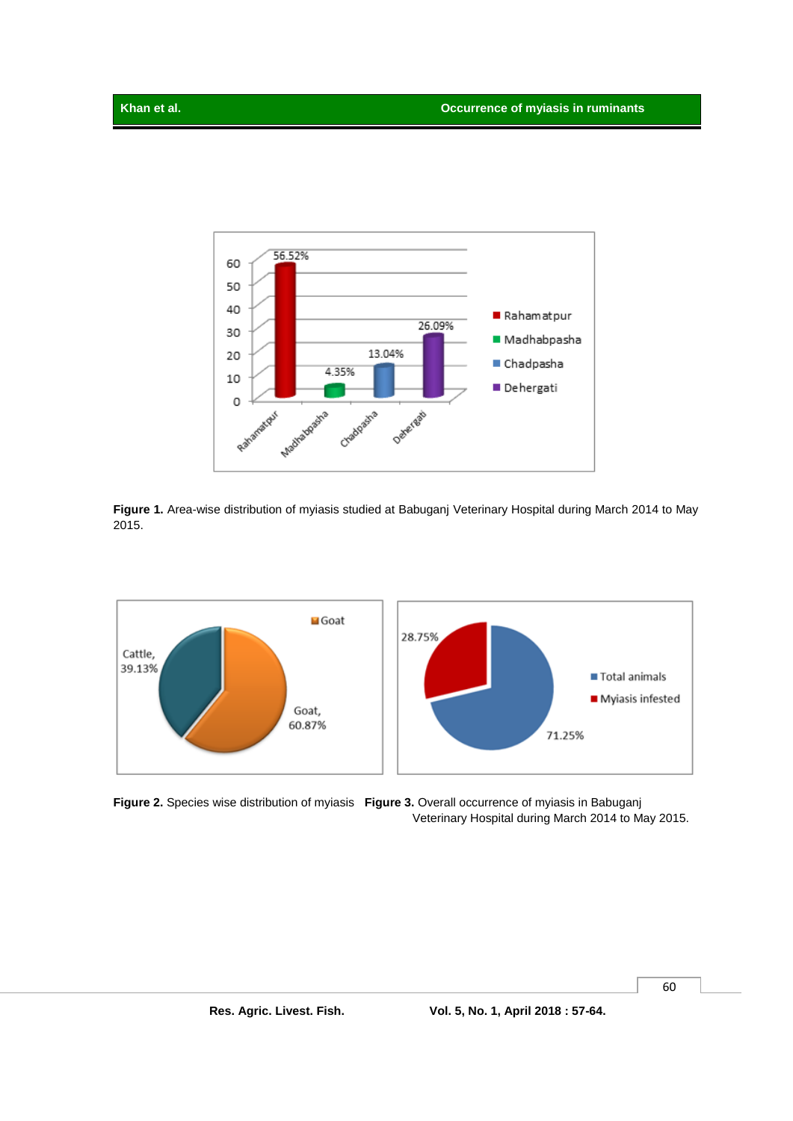

**Figure 1.** Area-wise distribution of myiasis studied at Babuganj Veterinary Hospital during March 2014 to May 2015.



**Figure 2.** Species wise distribution of myiasis **Figure 3.** Overall occurrence of myiasis in Babuganj Veterinary Hospital during March 2014 to May 2015.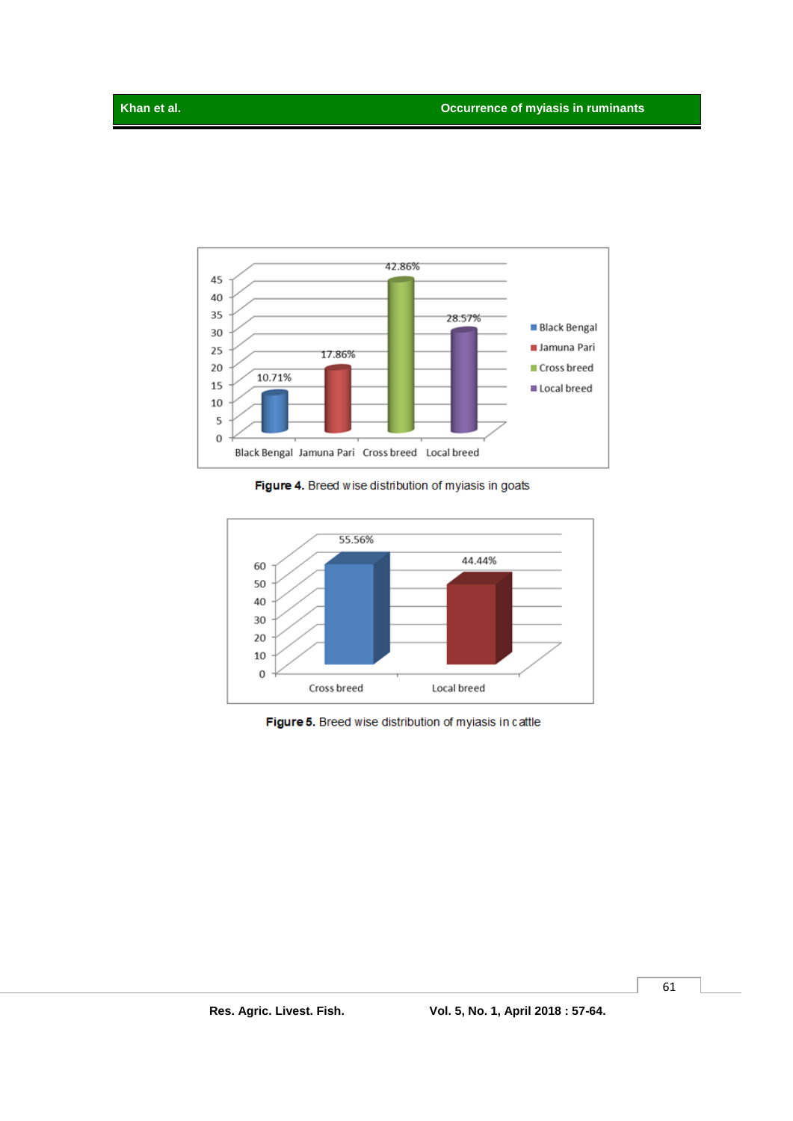

Figure 4. Breed wise distribution of myiasis in goats



Figure 5. Breed wise distribution of myiasis in cattle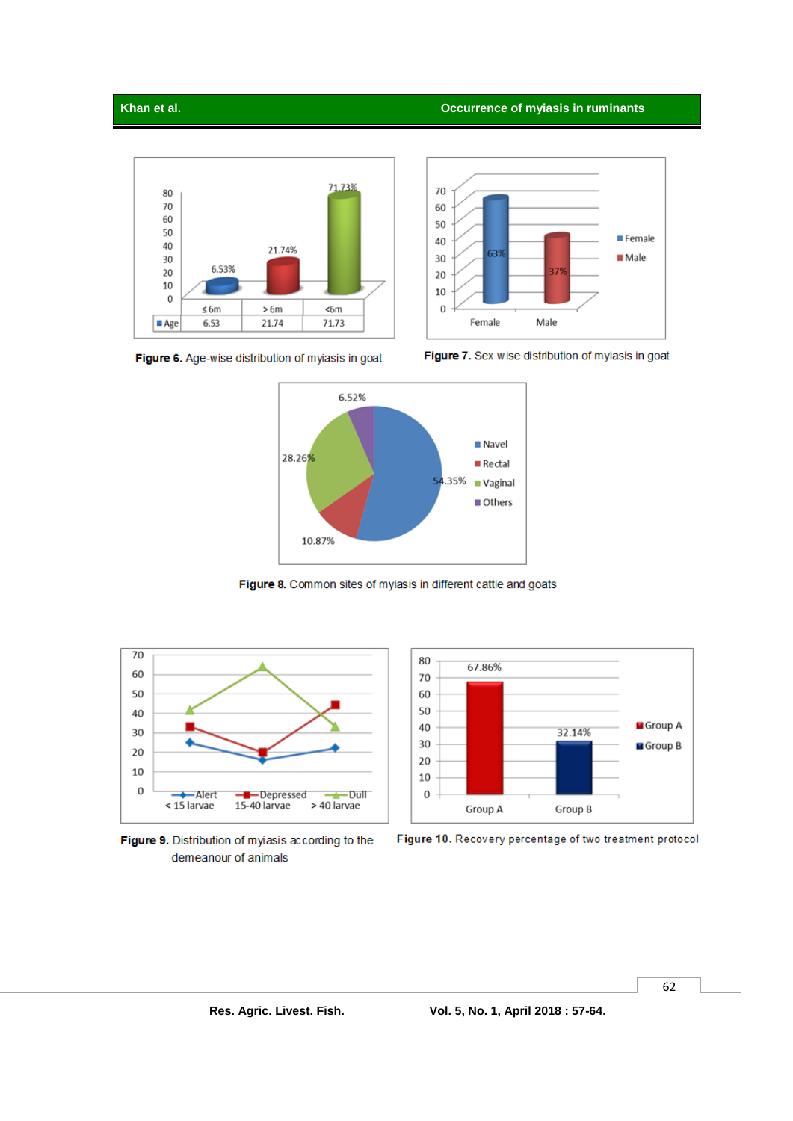## **Khan et al. Occurrence of myiasis in ruminants**





Figure 6. Age-wise distribution of myiasis in goat





Figure 8. Common sites of myiasis in different cattle and goats



Figure 9. Distribution of myiasis according to the demeanour of animals



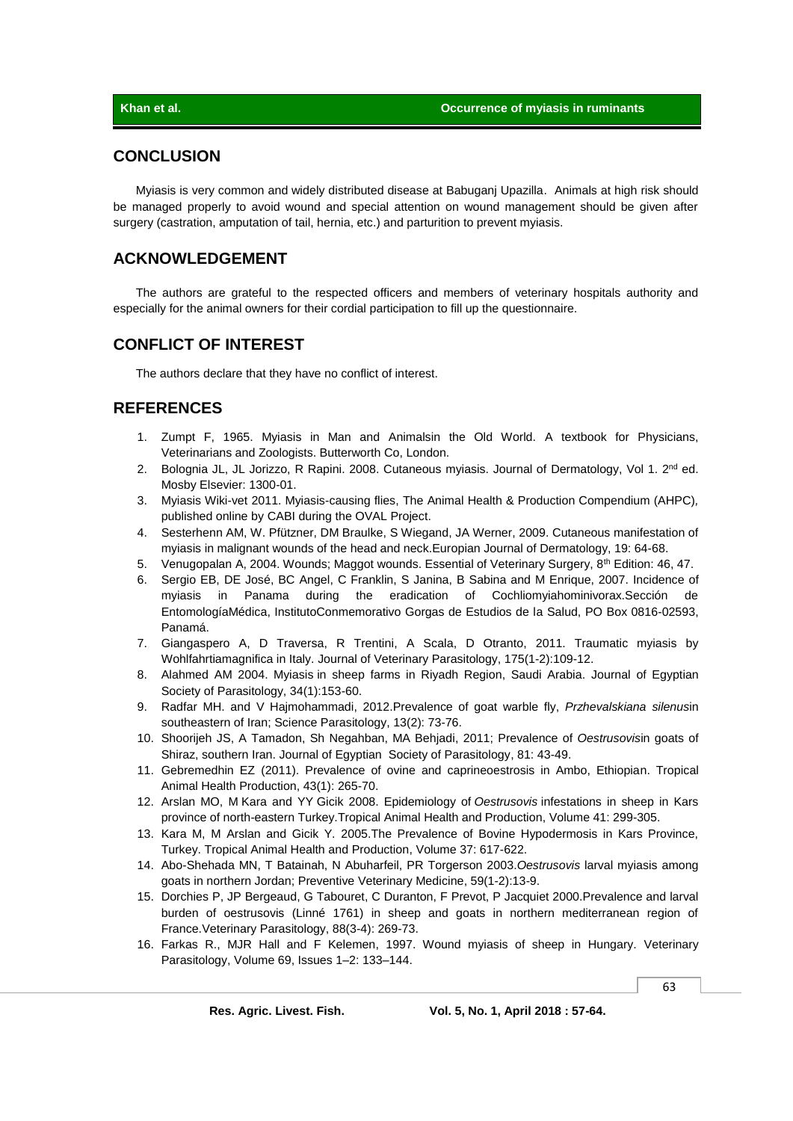# **CONCLUSION**

Myiasis is very common and widely distributed disease at Babuganj Upazilla. Animals at high risk should be managed properly to avoid wound and special attention on wound management should be given after surgery (castration, amputation of tail, hernia, etc.) and parturition to prevent myiasis.

# **ACKNOWLEDGEMENT**

The authors are grateful to the respected officers and members of veterinary hospitals authority and especially for the animal owners for their cordial participation to fill up the questionnaire.

# **CONFLICT OF INTEREST**

The authors declare that they have no conflict of interest.

# **REFERENCES**

- 1. Zumpt F, 1965. Myiasis in Man and Animalsin the Old World. A textbook for Physicians, Veterinarians and Zoologists. Butterworth Co, London.
- 2. Bolognia JL, JL Jorizzo, R Rapini. 2008. Cutaneous myiasis. Journal of Dermatology, Vol 1. 2<sup>nd</sup> ed. Mosby Elsevier: 1300-01.
- 3. Myiasis Wiki-vet 2011. [Myiasis-causing flies,](http://www.cabi.org/ahpc/?compid=3&dsid=74573&loadmodule=datasheet&page=2144&site=160) [The Animal Health & Production Compendium \(AHPC\)](http://www.cabi.org/ahpc/Default.aspx?site=160&page=2143)*,* published online b[y CABI](http://www.cabi.org/) during th[e OVAL Project.](http://en.wikivet.net/OVAL_Project)
- 4. Sesterhenn AM, W. Pfützner, DM Braulke, S Wiegand, JA Werner, 2009. Cutaneous manifestation of myiasis in malignant wounds of the head and neck.Europian Journal of Dermatology, 19: 64-68.
- 5. Venugopalan A, 2004. Wounds; Maggot wounds. Essential of Veterinary Surgery, 8<sup>th</sup> Edition: 46, 47.
- 6. Sergio EB, DE José, BC Angel, C Franklin, S Janina, B Sabina and M Enrique, 2007. Incidence of myiasis in Panama during the eradication of Cochliomyiahominivorax.Sección de EntomologíaMédica, InstitutoConmemorativo Gorgas de Estudios de la Salud, PO Box 0816-02593, Panamá.
- 7. [Giangaspero A,](http://www.ncbi.nlm.nih.gov/pubmed?term=Giangaspero%20A%5BAuthor%5D&cauthor=true&cauthor_uid=21030155) D [Traversa,](http://www.ncbi.nlm.nih.gov/pubmed?term=Traversa%20D%5BAuthor%5D&cauthor=true&cauthor_uid=21030155) R [Trentini,](http://www.ncbi.nlm.nih.gov/pubmed?term=Trentini%20R%5BAuthor%5D&cauthor=true&cauthor_uid=21030155) A [Scala,](http://www.ncbi.nlm.nih.gov/pubmed?term=Scala%20A%5BAuthor%5D&cauthor=true&cauthor_uid=21030155) D [Otranto,](http://www.ncbi.nlm.nih.gov/pubmed?term=Otranto%20D%5BAuthor%5D&cauthor=true&cauthor_uid=21030155) 2011. Traumatic myiasis by Wohlfahrtiamagnifica in Italy. Journal of Veterinary [Parasitology,](http://www.ncbi.nlm.nih.gov/pubmed/21030155) 175(1-2):109-12.
- 8. [Alahmed AM](http://www.ncbi.nlm.nih.gov/pubmed?term=Alahmed%20AM%5BAuthor%5D&cauthor=true&cauthor_uid=15125523) 2004. Myiasis in sheep farms in Riyadh Region, Saudi Arabia. Journal [of Egyptian](http://www.ncbi.nlm.nih.gov/pubmed/15125523)  [Society of Parasitology,](http://www.ncbi.nlm.nih.gov/pubmed/15125523) 34(1):153-60.
- 9. Radfar MH. and V Hajmohammadi, 2012.Prevalence of goat warble fly, *Przhevalskiana silenus*in southeastern of Iran; Science Parasitology, 13(2): 73-76.
- 10. Shoorijeh JS, A Tamadon, Sh Negahban, MA Behjadi, 2011; Prevalence of *Oestrusovis*in goats of Shiraz, southern Iran[. Journal of Egyptian Society of Parasitology,](http://www.ncbi.nlm.nih.gov/pubmed/15125523) 81: 43-49.
- 11. [Gebremedhin EZ](http://www.ncbi.nlm.nih.gov/pubmed?term=Gebremedhin%20EZ%5BAuthor%5D&cauthor=true&cauthor_uid=20725855) (2011). Prevalence of ovine and caprineoestrosis in Ambo, Ethiopian. [Tropical](http://www.ncbi.nlm.nih.gov/pubmed/?term=Prevalence+of+ovine+and+caprine+oestrosis+in+Ambo%2C+Ethiopia.+%5BTrop+Anim+Health+Prod.+2011%5D+Prevalence+of+ovine+and+caprine+oestrosis+in+Ambo%2C+Ethiopia.+Gebremedhin+EZ.+Trop+Anim+Health+Prod.+2011+Jan%3B+43%281%29%3A265-70.+Epub+2010+Aug+21) Animal [Health Production,](http://www.ncbi.nlm.nih.gov/pubmed/?term=Prevalence+of+ovine+and+caprine+oestrosis+in+Ambo%2C+Ethiopia.+%5BTrop+Anim+Health+Prod.+2011%5D+Prevalence+of+ovine+and+caprine+oestrosis+in+Ambo%2C+Ethiopia.+Gebremedhin+EZ.+Trop+Anim+Health+Prod.+2011+Jan%3B+43%281%29%3A265-70.+Epub+2010+Aug+21) 43(1): 265-70.
- 12. [Arslan](http://pubget.com/search?q=author:%22M%20O%20MO%20Arslan%22&from=18523857) MO, M [Kara](http://pubget.com/search?q=author:%22M%20M%20Kara%22&from=18523857) and YY Gicik 2008. Epidemiology of *Oestrusovis* infestations in sheep in Kars province of north-eastern Turkey.Tropical Animal [Health and Production,](http://link.springer.com/journal/11250) Volume 41: 299-305.
- 13. Kara M, M Arslan and Gicik Y. 2005.The Prevalence of Bovine Hypodermosis in Kars Province, Turkey. [Tropical Animal Health and Production,](http://www.ingentaconnect.com/content/klu/trop;jsessionid=1ncg3e1vseijh.alice) Volume 37: 617-622.
- 14. [Abo-Shehada MN,](http://www.ncbi.nlm.nih.gov/pubmed?term=Abo-Shehada%20MN%5BAuthor%5D&cauthor=true&cauthor_uid=12719013) T [Batainah,](http://www.ncbi.nlm.nih.gov/pubmed?term=Batainah%20T%5BAuthor%5D&cauthor=true&cauthor_uid=12719013) N [Abuharfeil,](http://www.ncbi.nlm.nih.gov/pubmed?term=Abuharfeil%20N%5BAuthor%5D&cauthor=true&cauthor_uid=12719013) PR [Torgerson](http://www.ncbi.nlm.nih.gov/pubmed?term=Torgerson%20PR%5BAuthor%5D&cauthor=true&cauthor_uid=12719013) 2003.*Oestrusovis* larval myiasis among goats in northern Jordan; Preventive [Veterinary Medicine,](http://www.ncbi.nlm.nih.gov/pubmed/?term=Oestrus+ovis+larval+myiasis+among+goats+in+northern+Jordan.+%5BPrev+Vet+Med.+2003%5D+Oestrus+ovis+larval+myiasis+among+goats+in+northern+Jordan.+Abo-Shehada+MN%2C+Batainah+T%2C+Abuharfeil+N%2C+Torgerson+PR.+Prev+Vet+Med.+2003+May+30%3B+59%281-2%29%3A13-9) 59(1-2):13-9.
- 15. [Dorchies P,](http://www.ncbi.nlm.nih.gov/pubmed?term=Dorchies%20P%5BAuthor%5D&cauthor=true&cauthor_uid=10714464) JP [Bergeaud,](http://www.ncbi.nlm.nih.gov/pubmed?term=Bergeaud%20JP%5BAuthor%5D&cauthor=true&cauthor_uid=10714464) G [Tabouret,](http://www.ncbi.nlm.nih.gov/pubmed?term=Tabouret%20G%5BAuthor%5D&cauthor=true&cauthor_uid=10714464) C [Duranton,](http://www.ncbi.nlm.nih.gov/pubmed?term=Duranton%20C%5BAuthor%5D&cauthor=true&cauthor_uid=10714464) F [Prevot,](http://www.ncbi.nlm.nih.gov/pubmed?term=Prevot%20F%5BAuthor%5D&cauthor=true&cauthor_uid=10714464) P [Jacquiet](http://www.ncbi.nlm.nih.gov/pubmed?term=Jacquiet%20P%5BAuthor%5D&cauthor=true&cauthor_uid=10714464) 2000.Prevalence and larval burden of oestrusovis (Linné 1761) in sheep and goats in northern mediterranean region of Franc[e.Veterinary Parasitology,](http://www.ncbi.nlm.nih.gov/pubmed/?term=Prevalence+and+larval+burden+of+oestrus+ovis+%28Linn%C3%A9+1761%29+in+sheep+and+goats+in+northern+mediterranean+region+of+France.+%5BVet+Parasitol.+2000%5D+Prevalence+and+larval+burden+of+oestrus+ovis+%28Linn%C3%A9+1761%29+in+sheep+and+goats+in+northern+mediterranean+region+of+France.+Dorchies+P%2C+Bergeaud+JP%2C+Tabouret+G%2C+Duranton+C%2C+Prevot+F%2C+Jacquiet+P.+Vet+Parasitol.+2000+Mar+1%3B+88%283-4%29%3A269-73.) 88(3-4): 269-73.
- 16. [Farkas](http://www.sciencedirect.com/science/article/pii/S0304401796011107) R., MJR Hall and F Kelemen, 1997. Wound myiasis of sheep in Hungary. [Veterinary](http://www.sciencedirect.com/science/journal/03044017)  [Parasitology,](http://www.sciencedirect.com/science/journal/03044017) [Volume 69, Issues 1–2:](http://www.sciencedirect.com/science/journal/03044017/69/1) 133–144.